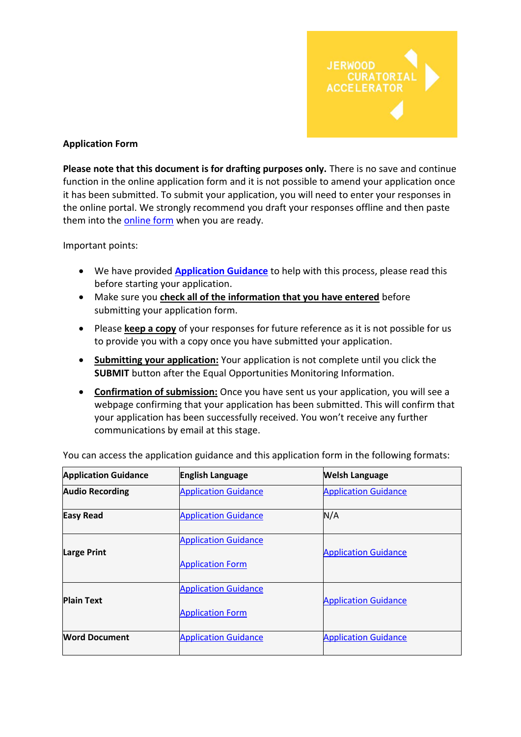

### **Application Form**

**Please note that this document is for drafting purposes only.** There is no save and continue function in the online application form and it is not possible to amend your application once it has been submitted. To submit your application, you will need to enter your responses in the online portal. We strongly recommend you draft your responses offline and then paste them into th[e online form](https://jerwoodarts.org/jerwood-curatorial-accelerator-application-form/) when you are ready.

Important points:

- We have provided **[Application Guidance](https://jerwoodarts.org/jerwood-curatorial-accelerator-guidance/)** to help with this process, please read this before starting your application.
- Make sure you **check all of the information that you have entered** before submitting your application form.
- Please **keep a copy** of your responses for future reference as it is not possible for us to provide you with a copy once you have submitted your application.
- **Submitting your application:** Your application is not complete until you click the **SUBMIT** button after the Equal Opportunities Monitoring Information.
- **Confirmation of submission:** Once you have sent us your application, you will see a webpage confirming that your application has been submitted. This will confirm that your application has been successfully received. You won't receive any further communications by email at this stage.

| <b>Application Guidance</b> | <b>English Language</b>                                | <b>Welsh Language</b>       |
|-----------------------------|--------------------------------------------------------|-----------------------------|
| <b>Audio Recording</b>      | <b>Application Guidance</b>                            | <b>Application Guidance</b> |
| <b>Easy Read</b>            | <b>Application Guidance</b>                            | N/A                         |
| <b>Large Print</b>          | <b>Application Guidance</b><br><b>Application Form</b> | <b>Application Guidance</b> |
| <b>Plain Text</b>           | <b>Application Guidance</b>                            | <b>Application Guidance</b> |
| <b>Word Document</b>        | <b>Application Form</b><br><b>Application Guidance</b> | <b>Application Guidance</b> |

You can access the application guidance and this application form in the following formats: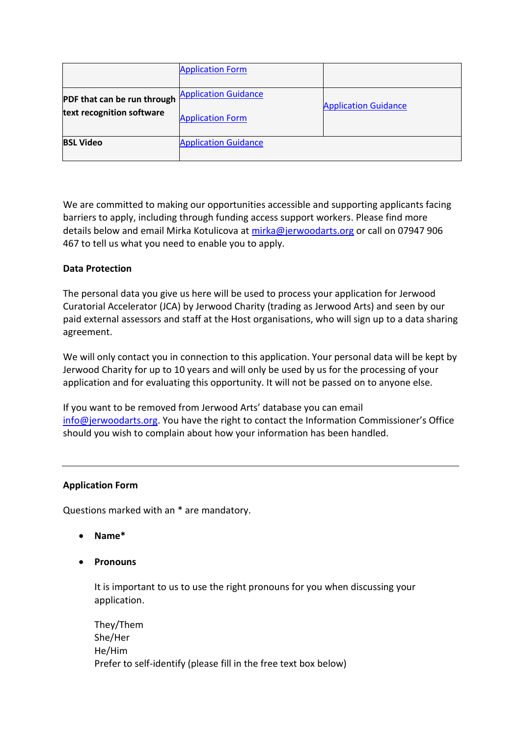|                                                          | <b>Application Form</b>                                |                             |
|----------------------------------------------------------|--------------------------------------------------------|-----------------------------|
| PDF that can be run through<br>text recognition software | <b>Application Guidance</b><br><b>Application Form</b> | <b>Application Guidance</b> |
| <b>BSL Video</b>                                         | <b>Application Guidance</b>                            |                             |

We are committed to making our opportunities accessible and supporting applicants facing barriers to apply, including through funding access support workers. Please find more details below and email Mirka Kotulicova at [mirka@jerwoodarts.org](mailto:mirka@jerwoodarts.org) or call on 07947 906 467 to tell us what you need to enable you to apply.

### **Data Protection**

The personal data you give us here will be used to process your application for Jerwood Curatorial Accelerator (JCA) by Jerwood Charity (trading as Jerwood Arts) and seen by our paid external assessors and staff at the Host organisations, who will sign up to a data sharing agreement.

We will only contact you in connection to this application. Your personal data will be kept by Jerwood Charity for up to 10 years and will only be used by us for the processing of your application and for evaluating this opportunity. It will not be passed on to anyone else.

If you want to be removed from Jerwood Arts' database you can email [info@jerwoodarts.org](mailto:info@jerwoodarts.org). You have the right to contact the Information Commissioner's Office should you wish to complain about how your information has been handled.

#### **Application Form**

Questions marked with an \* are mandatory.

- **Name\***
- **Pronouns**

It is important to us to use the right pronouns for you when discussing your application.

They/Them She/Her He/Him Prefer to self-identify (please fill in the free text box below)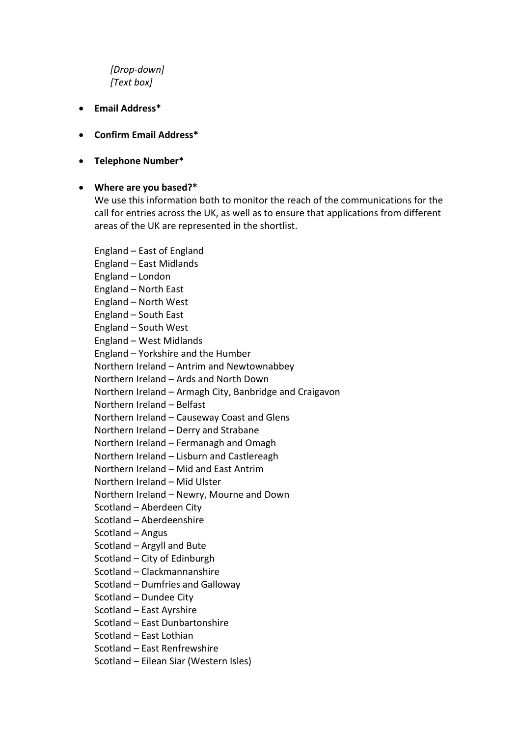# *[Drop-down] [Text box]*

- **Email Address\***
- **Confirm Email Address\***
- **Telephone Number\***

#### • **Where are you based?\***

We use this information both to monitor the reach of the communications for the call for entries across the UK, as well as to ensure that applications from different areas of the UK are represented in the shortlist.

England – East of England England – East Midlands England – London England – North East England – North West England – South East England – South West England – West Midlands England – Yorkshire and the Humber Northern Ireland – Antrim and Newtownabbey Northern Ireland – Ards and North Down Northern Ireland – Armagh City, Banbridge and Craigavon Northern Ireland – Belfast Northern Ireland – Causeway Coast and Glens Northern Ireland – Derry and Strabane Northern Ireland – Fermanagh and Omagh Northern Ireland – Lisburn and Castlereagh Northern Ireland – Mid and East Antrim Northern Ireland – Mid Ulster Northern Ireland – Newry, Mourne and Down Scotland – Aberdeen City Scotland – Aberdeenshire Scotland – Angus Scotland – Argyll and Bute Scotland – City of Edinburgh Scotland – Clackmannanshire Scotland – Dumfries and Galloway Scotland – Dundee City Scotland – East Ayrshire Scotland – East Dunbartonshire Scotland – East Lothian Scotland – East Renfrewshire Scotland – Eilean Siar (Western Isles)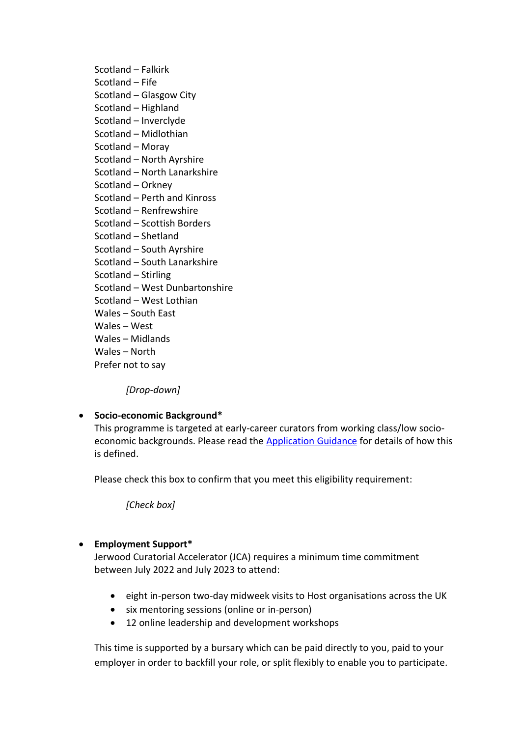Scotland – Falkirk Scotland – Fife Scotland – Glasgow City Scotland – Highland Scotland – Inverclyde Scotland – Midlothian Scotland – Moray Scotland – North Ayrshire Scotland – North Lanarkshire Scotland – Orkney Scotland – Perth and Kinross Scotland – Renfrewshire Scotland – Scottish Borders Scotland – Shetland Scotland – South Ayrshire Scotland – South Lanarkshire Scotland – Stirling Scotland – West Dunbartonshire Scotland – West Lothian Wales – South East Wales – West Wales – Midlands Wales – North Prefer not to say

*[Drop-down]*

# • **Socio-economic Background\***

This programme is targeted at early-career curators from working class/low socioeconomic backgrounds. Please read the [Application Guidance](https://jerwoodarts.org/jerwood-curatorial-accelerator-guidance/) for details of how this is defined.

Please check this box to confirm that you meet this eligibility requirement:

*[Check box]*

# • **Employment Support\***

Jerwood Curatorial Accelerator (JCA) requires a minimum time commitment between July 2022 and July 2023 to attend:

- eight in-person two-day midweek visits to Host organisations across the UK
- six mentoring sessions (online or in-person)
- 12 online leadership and development workshops

This time is supported by a bursary which can be paid directly to you, paid to your employer in order to backfill your role, or split flexibly to enable you to participate.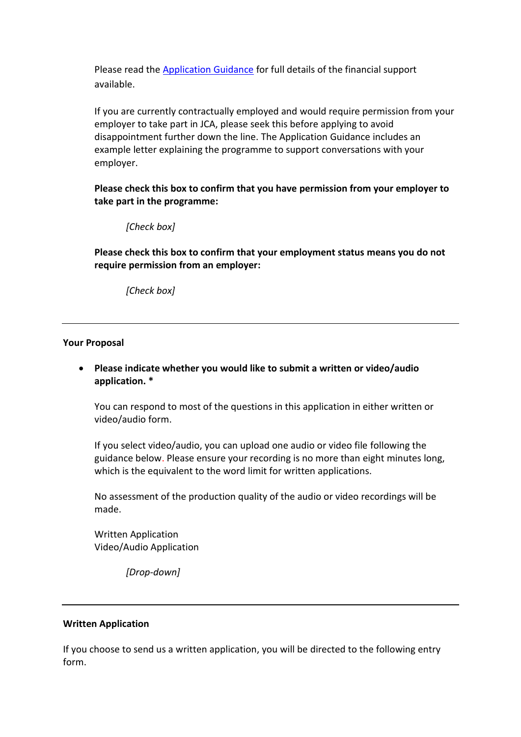Please read the [Application Guidance](https://jerwoodarts.org/jerwood-curatorial-accelerator-guidance/) for full details of the financial support available.

If you are currently contractually employed and would require permission from your employer to take part in JCA, please seek this before applying to avoid disappointment further down the line. The Application Guidance includes an example letter explaining the programme to support conversations with your employer.

**Please check this box to confirm that you have permission from your employer to take part in the programme:**

#### *[Check box]*

**Please check this box to confirm that your employment status means you do not require permission from an employer:**

*[Check box]*

#### **Your Proposal**

### • **Please indicate whether you would like to submit a written or video/audio application. \***

You can respond to most of the questions in this application in either written or video/audio form.

If you select video/audio, you can upload one audio or video file following the guidance below. Please ensure your recording is no more than eight minutes long, which is the equivalent to the word limit for written applications.

No assessment of the production quality of the audio or video recordings will be made.

Written Application Video/Audio Application

*[Drop-down]*

#### **Written Application**

If you choose to send us a written application, you will be directed to the following entry form.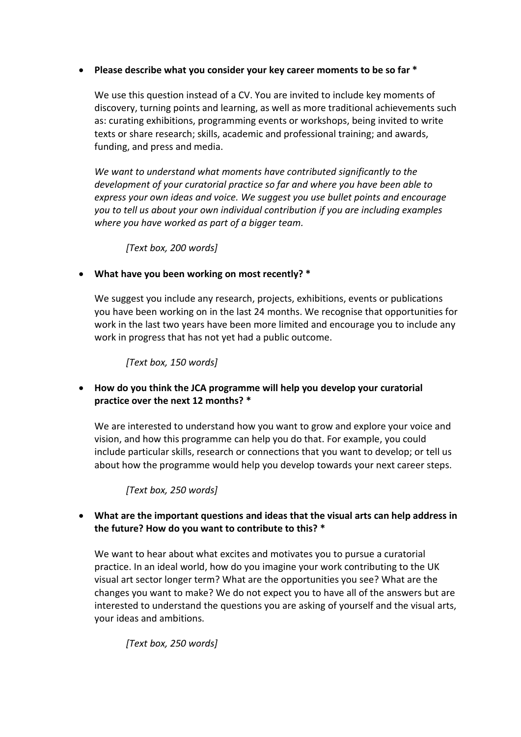### • **Please describe what you consider your key career moments to be so far \***

We use this question instead of a CV. You are invited to include key moments of discovery, turning points and learning, as well as more traditional achievements such as: curating exhibitions, programming events or workshops, being invited to write texts or share research; skills, academic and professional training; and awards, funding, and press and media.

*We want to understand what moments have contributed significantly to the development of your curatorial practice so far and where you have been able to express your own ideas and voice. We suggest you use bullet points and encourage you to tell us about your own individual contribution if you are including examples where you have worked as part of a bigger team.*

*[Text box, 200 words]*

• **What have you been working on most recently? \***

We suggest you include any research, projects, exhibitions, events or publications you have been working on in the last 24 months. We recognise that opportunities for work in the last two years have been more limited and encourage you to include any work in progress that has not yet had a public outcome.

*[Text box, 150 words]*

• **How do you think the JCA programme will help you develop your curatorial practice over the next 12 months? \***

We are interested to understand how you want to grow and explore your voice and vision, and how this programme can help you do that. For example, you could include particular skills, research or connections that you want to develop; or tell us about how the programme would help you develop towards your next career steps.

*[Text box, 250 words]*

# • **What are the important questions and ideas that the visual arts can help address in the future? How do you want to contribute to this? \***

We want to hear about what excites and motivates you to pursue a curatorial practice. In an ideal world, how do you imagine your work contributing to the UK visual art sector longer term? What are the opportunities you see? What are the changes you want to make? We do not expect you to have all of the answers but are interested to understand the questions you are asking of yourself and the visual arts, your ideas and ambitions.

*[Text box, 250 words]*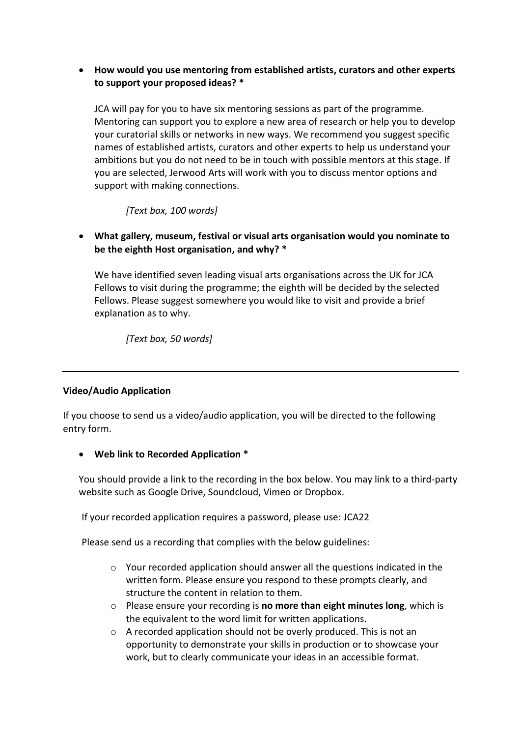# • **How would you use mentoring from established artists, curators and other experts to support your proposed ideas? \***

JCA will pay for you to have six mentoring sessions as part of the programme. Mentoring can support you to explore a new area of research or help you to develop your curatorial skills or networks in new ways. We recommend you suggest specific names of established artists, curators and other experts to help us understand your ambitions but you do not need to be in touch with possible mentors at this stage. If you are selected, Jerwood Arts will work with you to discuss mentor options and support with making connections.

# *[Text box, 100 words]*

# • **What gallery, museum, festival or visual arts organisation would you nominate to be the eighth Host organisation, and why? \***

We have identified seven leading visual arts organisations across the UK for JCA Fellows to visit during the programme; the eighth will be decided by the selected Fellows. Please suggest somewhere you would like to visit and provide a brief explanation as to why.

*[Text box, 50 words]*

#### **Video/Audio Application**

If you choose to send us a video/audio application, you will be directed to the following entry form.

• **Web link to Recorded Application \***

You should provide a link to the recording in the box below. You may link to a third-party website such as Google Drive, Soundcloud, Vimeo or Dropbox.

If your recorded application requires a password, please use: JCA22

Please send us a recording that complies with the below guidelines:

- o Your recorded application should answer all the questions indicated in the written form. Please ensure you respond to these prompts clearly, and structure the content in relation to them.
- o Please ensure your recording is **no more than eight minutes long**, which is the equivalent to the word limit for written applications.
- o A recorded application should not be overly produced. This is not an opportunity to demonstrate your skills in production or to showcase your work, but to clearly communicate your ideas in an accessible format.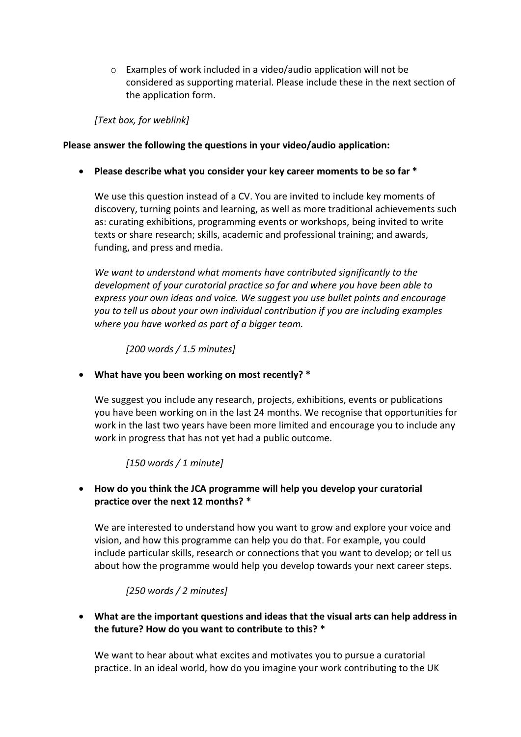o Examples of work included in a video/audio application will not be considered as supporting material. Please include these in the next section of the application form.

*[Text box, for weblink]*

### **Please answer the following the questions in your video/audio application:**

• **Please describe what you consider your key career moments to be so far \***

We use this question instead of a CV. You are invited to include key moments of discovery, turning points and learning, as well as more traditional achievements such as: curating exhibitions, programming events or workshops, being invited to write texts or share research; skills, academic and professional training; and awards, funding, and press and media.

*We want to understand what moments have contributed significantly to the development of your curatorial practice so far and where you have been able to express your own ideas and voice. We suggest you use bullet points and encourage you to tell us about your own individual contribution if you are including examples where you have worked as part of a bigger team.*

*[200 words / 1.5 minutes]*

• **What have you been working on most recently? \***

We suggest you include any research, projects, exhibitions, events or publications you have been working on in the last 24 months. We recognise that opportunities for work in the last two years have been more limited and encourage you to include any work in progress that has not yet had a public outcome.

# *[150 words / 1 minute]*

# • **How do you think the JCA programme will help you develop your curatorial practice over the next 12 months? \***

We are interested to understand how you want to grow and explore your voice and vision, and how this programme can help you do that. For example, you could include particular skills, research or connections that you want to develop; or tell us about how the programme would help you develop towards your next career steps.

# *[250 words / 2 minutes]*

• **What are the important questions and ideas that the visual arts can help address in the future? How do you want to contribute to this? \***

We want to hear about what excites and motivates you to pursue a curatorial practice. In an ideal world, how do you imagine your work contributing to the UK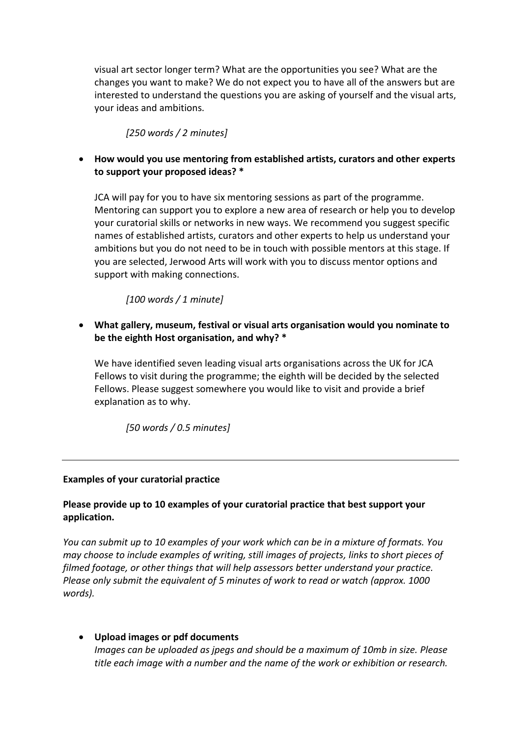visual art sector longer term? What are the opportunities you see? What are the changes you want to make? We do not expect you to have all of the answers but are interested to understand the questions you are asking of yourself and the visual arts, your ideas and ambitions.

*[250 words / 2 minutes]*

• **How would you use mentoring from established artists, curators and other experts to support your proposed ideas? \***

JCA will pay for you to have six mentoring sessions as part of the programme. Mentoring can support you to explore a new area of research or help you to develop your curatorial skills or networks in new ways. We recommend you suggest specific names of established artists, curators and other experts to help us understand your ambitions but you do not need to be in touch with possible mentors at this stage. If you are selected, Jerwood Arts will work with you to discuss mentor options and support with making connections.

*[100 words / 1 minute]*

• **What gallery, museum, festival or visual arts organisation would you nominate to be the eighth Host organisation, and why? \***

We have identified seven leading visual arts organisations across the UK for JCA Fellows to visit during the programme; the eighth will be decided by the selected Fellows. Please suggest somewhere you would like to visit and provide a brief explanation as to why.

*[50 words / 0.5 minutes]*

#### **Examples of your curatorial practice**

# **Please provide up to 10 examples of your curatorial practice that best support your application.**

*You can submit up to 10 examples of your work which can be in a mixture of formats. You may choose to include examples of writing, still images of projects, links to short pieces of filmed footage, or other things that will help assessors better understand your practice. Please only submit the equivalent of 5 minutes of work to read or watch (approx. 1000 words).*

#### • **Upload images or pdf documents**

*Images can be uploaded as jpegs and should be a maximum of 10mb in size. Please title each image with a number and the name of the work or exhibition or research.*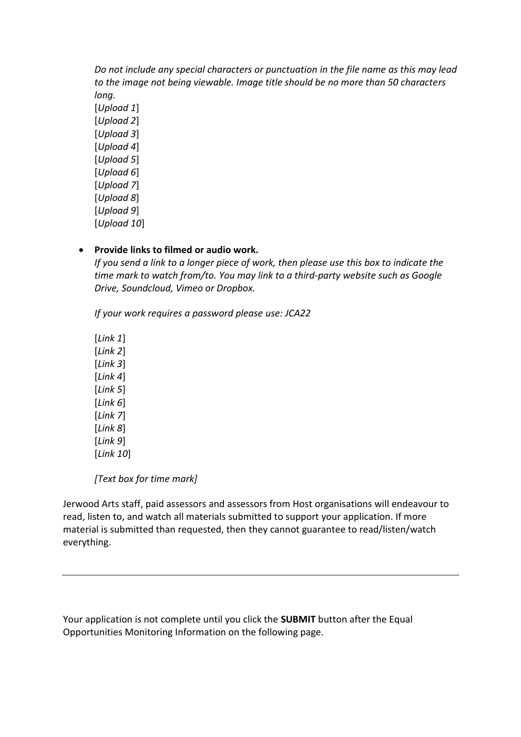*Do not include any special characters or punctuation in the file name as this may lead to the image not being viewable. Image title should be no more than 50 characters long.*

[*Upload 1*] [*Upload 2*] [*Upload 3*] [*Upload 4*] [*Upload 5*] [*Upload 6*] [*Upload 7*] [*Upload 8*] [*Upload 9*] [*Upload 10*]

#### • **Provide links to filmed or audio work.**

*If you send a link to a longer piece of work, then please use this box to indicate the time mark to watch from/to. You may link to a third-party website such as Google Drive, Soundcloud, Vimeo or Dropbox.*

*If your work requires a password please use: JCA22*

[*Link 1*] [*Link 2*] [*Link 3*] [*Link 4*] [*Link 5*] [*Link 6*] [*Link 7*] [*Link 8*] [*Link 9*] [*Link 10*]

*[Text box for time mark]*

Jerwood Arts staff, paid assessors and assessors from Host organisations will endeavour to read, listen to, and watch all materials submitted to support your application. If more material is submitted than requested, then they cannot guarantee to read/listen/watch everything.

Your application is not complete until you click the **SUBMIT** button after the Equal Opportunities Monitoring Information on the following page.